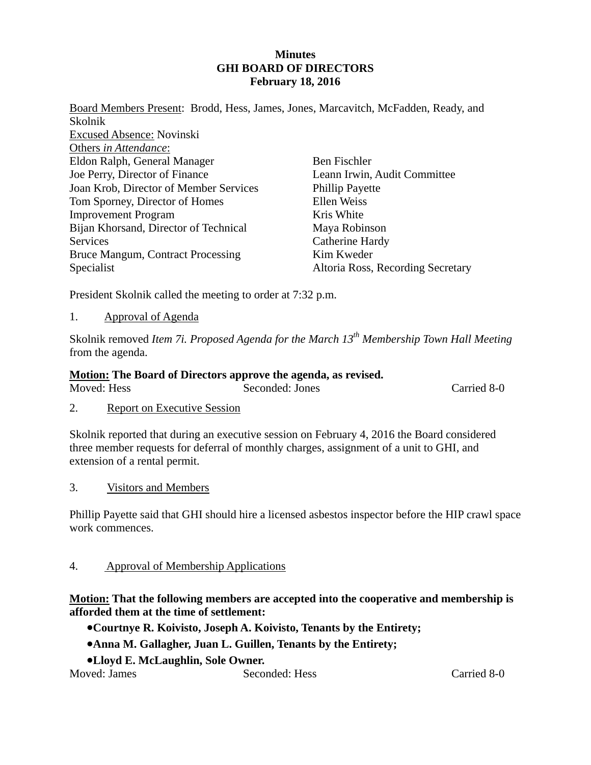## **Minutes GHI BOARD OF DIRECTORS February 18, 2016**

Board Members Present: Brodd, Hess, James, Jones, Marcavitch, McFadden, Ready, and Skolnik Excused Absence: Novinski Others *in Attendance*: Eldon Ralph, General Manager Joe Perry, Director of Finance Joan Krob, Director of Member Services Tom Sporney, Director of Homes Improvement Program Bijan Khorsand, Director of Technical **Services** Bruce Mangum, Contract Processing Specialist Ben Fischler Leann Irwin, Audit Committee Phillip Payette Ellen Weiss Kris White Maya Robinson Catherine Hardy Kim Kweder Altoria Ross, Recording Secretary

President Skolnik called the meeting to order at 7:32 p.m.

1. Approval of Agenda

Skolnik removed *Item 7i. Proposed Agenda for the March 13th Membership Town Hall Meeting* from the agenda.

## **Motion: The Board of Directors approve the agenda, as revised.**

| Moved: Hess | Seconded: Jones | Carried 8-0 |
|-------------|-----------------|-------------|
|             |                 |             |

2. Report on Executive Session

Skolnik reported that during an executive session on February 4, 2016 the Board considered three member requests for deferral of monthly charges, assignment of a unit to GHI, and extension of a rental permit.

3. Visitors and Members

Phillip Payette said that GHI should hire a licensed asbestos inspector before the HIP crawl space work commences.

#### 4. Approval of Membership Applications

## **Motion: That the following members are accepted into the cooperative and membership is afforded them at the time of settlement:**

**Courtnye R. Koivisto, Joseph A. Koivisto, Tenants by the Entirety;** 

- **Anna M. Gallagher, Juan L. Guillen, Tenants by the Entirety;**
- **Lloyd E. McLaughlin, Sole Owner.**

Moved: James Seconded: Hess Carried 8-0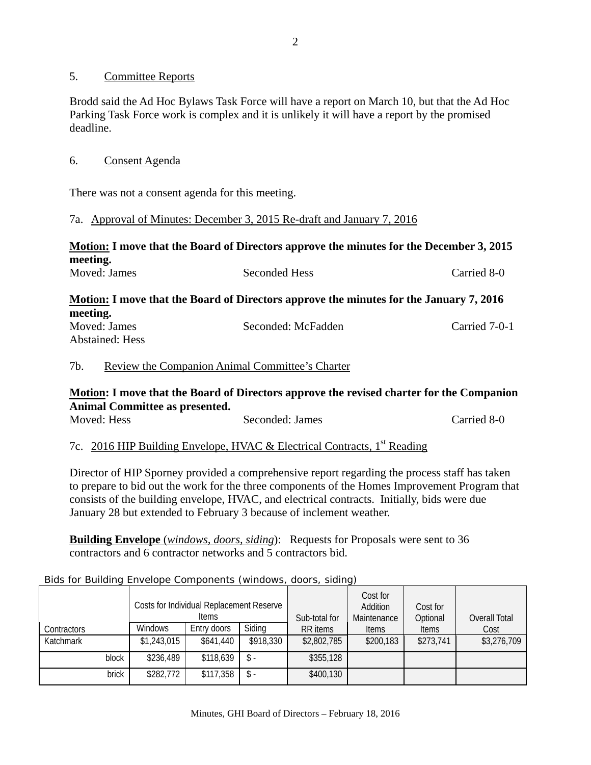## 5. Committee Reports

Brodd said the Ad Hoc Bylaws Task Force will have a report on March 10, but that the Ad Hoc Parking Task Force work is complex and it is unlikely it will have a report by the promised deadline.

## 6. Consent Agenda

There was not a consent agenda for this meeting.

## 7a. Approval of Minutes: December 3, 2015 Re-draft and January 7, 2016

# **Motion: I move that the Board of Directors approve the minutes for the December 3, 2015 meeting.**

| Moved: James             | <b>Seconded Hess</b>                                                                   | Carried 8-0   |
|--------------------------|----------------------------------------------------------------------------------------|---------------|
|                          | Motion: I move that the Board of Directors approve the minutes for the January 7, 2016 |               |
| meeting.<br>Moved: James | Seconded: McFadden                                                                     | Carried 7-0-1 |
| <b>Abstained: Hess</b>   |                                                                                        |               |

## 7b. Review the Companion Animal Committee's Charter

# **Motion: I move that the Board of Directors approve the revised charter for the Companion Animal Committee as presented.**

| Moved: Hess | Seconded: James | Carried 8-0 |
|-------------|-----------------|-------------|
|             |                 |             |

## 7c. 2016 HIP Building Envelope, HVAC & Electrical Contracts, 1<sup>st</sup> Reading

Director of HIP Sporney provided a comprehensive report regarding the process staff has taken to prepare to bid out the work for the three components of the Homes Improvement Program that consists of the building envelope, HVAC, and electrical contracts. Initially, bids were due January 28 but extended to February 3 because of inclement weather.

**Building Envelope** (*windows, doors, siding*): Requests for Proposals were sent to 36 contractors and 6 contractor networks and 5 contractors bid.

| <b>Contractors</b> |       | <b>Windows</b> | Costs for Individual Replacement Reserve<br><b>Items</b><br>Entry doors | Siding    | Sub-total for<br>RR items | Cost for<br>Addition<br>Maintenance<br><b>Items</b> | Cost for<br>Optional<br><b>Items</b> | Overall Total<br>Cost |
|--------------------|-------|----------------|-------------------------------------------------------------------------|-----------|---------------------------|-----------------------------------------------------|--------------------------------------|-----------------------|
| Katchmark          |       | \$1,243,015    | \$641,440                                                               | \$918,330 | \$2,802,785               | \$200,183                                           | \$273,741                            | \$3,276,709           |
|                    | block | \$236,489      | \$118,639                                                               | \$-       | \$355,128                 |                                                     |                                      |                       |
|                    | brick | \$282,772      | \$117,358                                                               | \$-       | \$400,130                 |                                                     |                                      |                       |

#### Bids for Building Envelope Components (windows, doors, siding)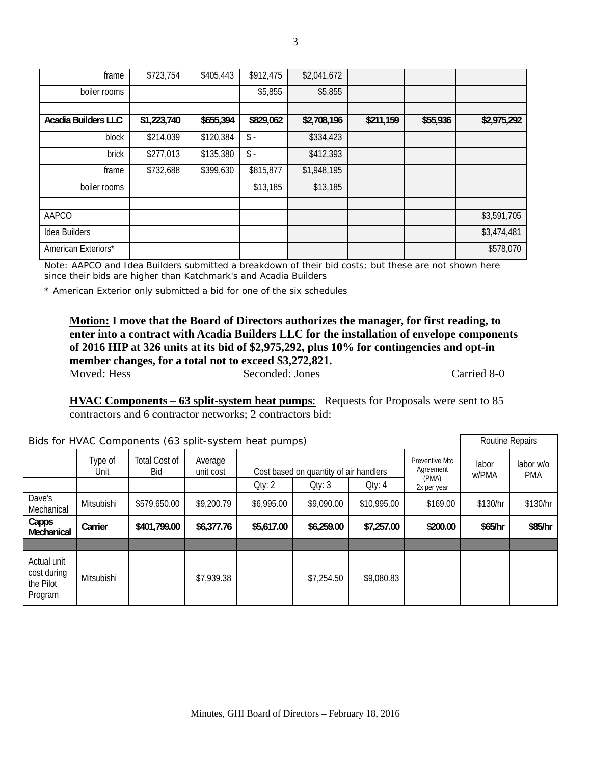| frame                      | \$723,754   | \$405,443 | \$912,475        | \$2,041,672 |           |          |             |
|----------------------------|-------------|-----------|------------------|-------------|-----------|----------|-------------|
| boiler rooms               |             |           | \$5,855          | \$5,855     |           |          |             |
|                            |             |           |                  |             |           |          |             |
| <b>Acadia Builders LLC</b> | \$1,223,740 | \$655,394 | \$829,062        | \$2,708,196 | \$211,159 | \$55,936 | \$2,975,292 |
| block                      | \$214,039   | \$120,384 | $\updownarrow$ . | \$334,423   |           |          |             |
| brick                      | \$277,013   | \$135,380 | $\updownarrow$ . | \$412,393   |           |          |             |
| frame                      | \$732,688   | \$399,630 | \$815,877        | \$1,948,195 |           |          |             |
| boiler rooms               |             |           | \$13,185         | \$13,185    |           |          |             |
|                            |             |           |                  |             |           |          |             |
| AAPCO                      |             |           |                  |             |           |          | \$3,591,705 |
| Idea Builders              |             |           |                  |             |           |          | \$3,474,481 |
| American Exteriors*        |             |           |                  |             |           |          | \$578,070   |

Note: AAPCO and Idea Builders submitted a breakdown of their bid costs; but these are not shown here since their bids are higher than Katchmark's and Acadia Builders

\* American Exterior only submitted a bid for one of the six schedules

**Motion: I move that the Board of Directors authorizes the manager, for first reading, to enter into a contract with Acadia Builders LLC for the installation of envelope components of 2016 HIP at 326 units at its bid of \$2,975,292, plus 10% for contingencies and opt-in member changes, for a total not to exceed \$3,272,821.** 

Moved: Hess Seconded: Jones Carried 8-0

**HVAC Components** – **63 split-system heat pumps**: Requests for Proposals were sent to 85 contractors and 6 contractor networks; 2 contractors bid:

| Bids for HVAC Components (63 split-system heat pumps) |                 |                             |                      |                                                                      |            |             |                                                     |                | Routine Repairs         |  |
|-------------------------------------------------------|-----------------|-----------------------------|----------------------|----------------------------------------------------------------------|------------|-------------|-----------------------------------------------------|----------------|-------------------------|--|
|                                                       | Type of<br>Unit | Total Cost of<br><b>Bid</b> | Average<br>unit cost | Cost based on quantity of air handlers<br>Qty: 4<br>Qty: 3<br>Qty: 2 |            |             | Preventive Mtc<br>Agreement<br>(PMA)<br>2x per year | labor<br>w/PMA | labor w/o<br><b>PMA</b> |  |
| Dave's<br>Mechanical                                  | Mitsubishi      | \$579,650.00                | \$9,200.79           | \$6,995.00                                                           | \$9,090.00 | \$10,995.00 | \$169.00                                            | \$130/hr       | \$130/hr                |  |
| Capps<br>Mechanical                                   | Carrier         | \$401,799.00                | \$6,377.76           | \$5,617.00                                                           | \$6,259.00 | \$7,257.00  | \$200.00                                            | \$65/hr        | \$85/hr                 |  |
|                                                       |                 |                             |                      |                                                                      |            |             |                                                     |                |                         |  |
| Actual unit<br>cost during<br>the Pilot<br>Program    | Mitsubishi      |                             | \$7,939.38           |                                                                      | \$7,254.50 | \$9,080.83  |                                                     |                |                         |  |

3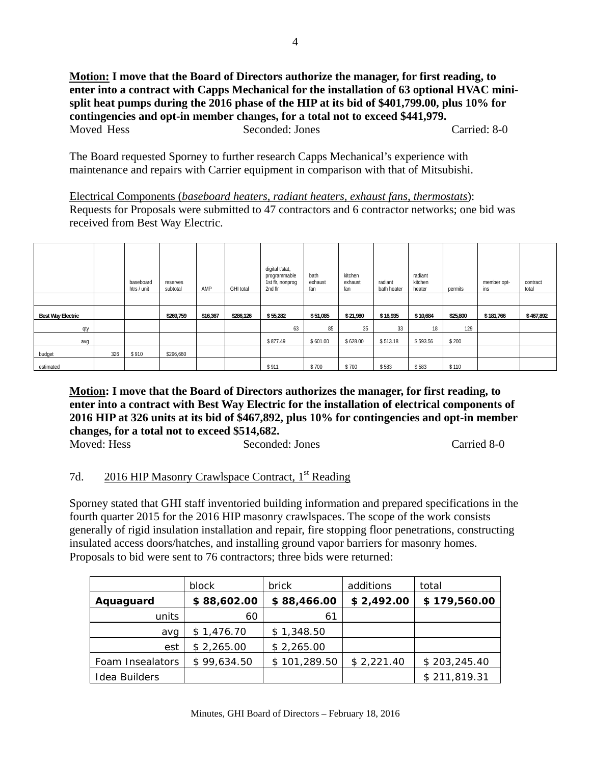**Motion: I move that the Board of Directors authorize the manager, for first reading, to enter into a contract with Capps Mechanical for the installation of 63 optional HVAC minisplit heat pumps during the 2016 phase of the HIP at its bid of \$401,799.00, plus 10% for contingencies and opt-in member changes, for a total not to exceed \$441,979.**  Moved Hess Seconded: Jones Carried: 8-0

The Board requested Sporney to further research Capps Mechanical's experience with maintenance and repairs with Carrier equipment in comparison with that of Mitsubishi.

Electrical Components (*baseboard heaters, radiant heaters, exhaust fans, thermostats*): Requests for Proposals were submitted to 47 contractors and 6 contractor networks; one bid was received from Best Way Electric.

|                          |     | baseboard<br>htrs / unit | reserves<br>subtotal | AMP      | <b>GHI</b> total | digital t'stat,<br>programmable<br>1st flr, nonprog<br>2nd flr | bath<br>exhaust<br>fan | kitchen<br>exhaust<br>fan | radiant<br>bath heater | radiant<br>kitchen<br>heater | permits  | member opt-<br>ins | contract<br>total |
|--------------------------|-----|--------------------------|----------------------|----------|------------------|----------------------------------------------------------------|------------------------|---------------------------|------------------------|------------------------------|----------|--------------------|-------------------|
|                          |     |                          |                      |          |                  |                                                                |                        |                           |                        |                              |          |                    |                   |
| <b>Best Way Electric</b> |     |                          | \$269,759            | \$16,367 | \$286,126        | \$55,282                                                       | \$51,085               | \$21,980                  | \$16,935               | \$10,684                     | \$25,800 | \$181,766          | \$467,892         |
| qty                      |     |                          |                      |          |                  | 63                                                             | 85                     | 35                        | 33                     | 18                           | 129      |                    |                   |
| avg                      |     |                          |                      |          |                  | \$877.49                                                       | \$601.00               | \$628.00                  | \$513.18               | \$593.56                     | \$200    |                    |                   |
| budget                   | 326 | \$910                    | \$296,660            |          |                  |                                                                |                        |                           |                        |                              |          |                    |                   |
| estimated                |     |                          |                      |          |                  | \$911                                                          | \$700                  | \$700                     | \$583                  | \$583                        | \$110    |                    |                   |

**Motion: I move that the Board of Directors authorizes the manager, for first reading, to enter into a contract with Best Way Electric for the installation of electrical components of 2016 HIP at 326 units at its bid of \$467,892, plus 10% for contingencies and opt-in member changes, for a total not to exceed \$514,682.**  Moved: Hess Seconded: Jones Carried 8-0

## 7d. 2016 HIP Masonry Crawlspace Contract, 1<sup>st</sup> Reading

Sporney stated that GHI staff inventoried building information and prepared specifications in the fourth quarter 2015 for the 2016 HIP masonry crawlspaces. The scope of the work consists generally of rigid insulation installation and repair, fire stopping floor penetrations, constructing insulated access doors/hatches, and installing ground vapor barriers for masonry homes. Proposals to bid were sent to 76 contractors; three bids were returned:

|                  | block       | brick        | additions  | total        |
|------------------|-------------|--------------|------------|--------------|
| Aquaguard        | \$88,602.00 | \$88,466.00  | \$2,492.00 | \$179,560.00 |
| units            | 60          | 61           |            |              |
| avg              | \$1,476.70  | \$1,348.50   |            |              |
| est              | \$2,265.00  | \$2,265.00   |            |              |
| Foam Insealators | \$99,634.50 | \$101,289.50 | \$2,221.40 | \$203,245.40 |
| Idea Builders    |             |              |            | \$211,819.31 |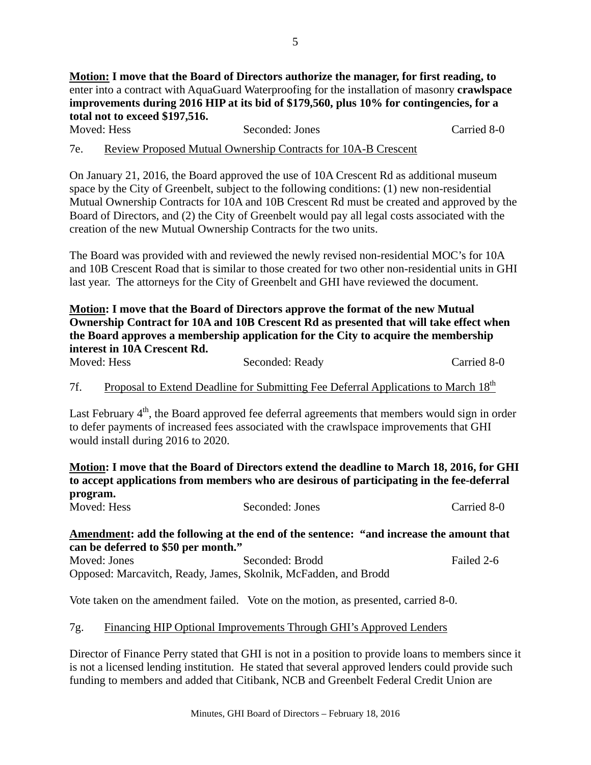**Motion: I move that the Board of Directors authorize the manager, for first reading, to**  enter into a contract with AquaGuard Waterproofing for the installation of masonry **crawlspace improvements during 2016 HIP at its bid of \$179,560, plus 10% for contingencies, for a total not to exceed \$197,516.** 

| Moved: Hess | Seconded: Jones                                               | Carried 8-0 |
|-------------|---------------------------------------------------------------|-------------|
| 7e.         | Review Proposed Mutual Ownership Contracts for 10A-B Crescent |             |

On January 21, 2016, the Board approved the use of 10A Crescent Rd as additional museum space by the City of Greenbelt, subject to the following conditions: (1) new non-residential Mutual Ownership Contracts for 10A and 10B Crescent Rd must be created and approved by the Board of Directors, and (2) the City of Greenbelt would pay all legal costs associated with the creation of the new Mutual Ownership Contracts for the two units.

The Board was provided with and reviewed the newly revised non-residential MOC's for 10A and 10B Crescent Road that is similar to those created for two other non-residential units in GHI last year. The attorneys for the City of Greenbelt and GHI have reviewed the document.

**Motion: I move that the Board of Directors approve the format of the new Mutual Ownership Contract for 10A and 10B Crescent Rd as presented that will take effect when the Board approves a membership application for the City to acquire the membership interest in 10A Crescent Rd.** 

| Moved: Hess | Seconded: Ready | Carried 8-0 |
|-------------|-----------------|-------------|
|-------------|-----------------|-------------|

7f. Proposal to Extend Deadline for Submitting Fee Deferral Applications to March 18<sup>th</sup>

Last February  $4<sup>th</sup>$ , the Board approved fee deferral agreements that members would sign in order to defer payments of increased fees associated with the crawlspace improvements that GHI would install during 2016 to 2020.

**Motion: I move that the Board of Directors extend the deadline to March 18, 2016, for GHI to accept applications from members who are desirous of participating in the fee-deferral program.** 

| Moved: Hess | Seconded: Jones | Carried 8-0 |
|-------------|-----------------|-------------|
|             |                 |             |

# **Amendment: add the following at the end of the sentence: "and increase the amount that can be deferred to \$50 per month."**

Moved: Jones Seconded: Brodd Failed 2-6 Opposed: Marcavitch, Ready, James, Skolnik, McFadden, and Brodd

Vote taken on the amendment failed. Vote on the motion, as presented, carried 8-0.

# 7g. Financing HIP Optional Improvements Through GHI's Approved Lenders

Director of Finance Perry stated that GHI is not in a position to provide loans to members since it is not a licensed lending institution. He stated that several approved lenders could provide such funding to members and added that Citibank, NCB and Greenbelt Federal Credit Union are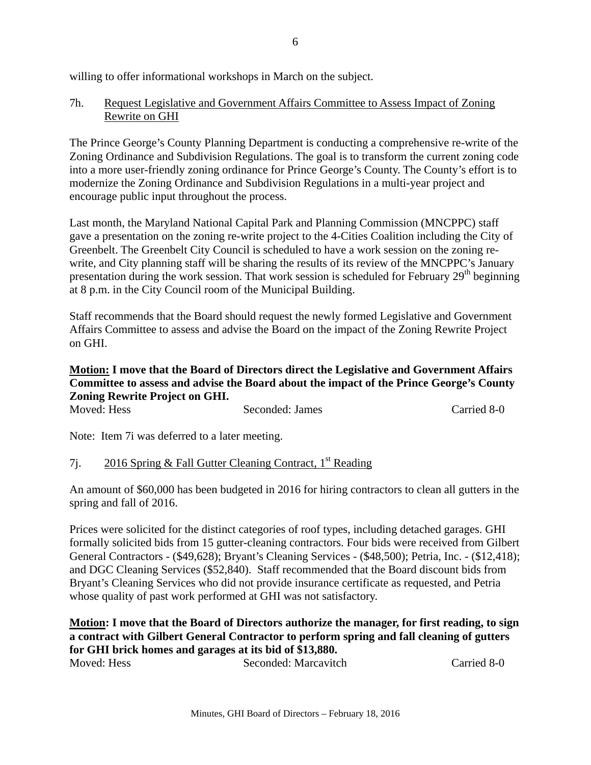willing to offer informational workshops in March on the subject.

## 7h. Request Legislative and Government Affairs Committee to Assess Impact of Zoning Rewrite on GHI

The Prince George's County Planning Department is conducting a comprehensive re-write of the Zoning Ordinance and Subdivision Regulations. The goal is to transform the current zoning code into a more user-friendly zoning ordinance for Prince George's County. The County's effort is to modernize the Zoning Ordinance and Subdivision Regulations in a multi-year project and encourage public input throughout the process.

Last month, the Maryland National Capital Park and Planning Commission (MNCPPC) staff gave a presentation on the zoning re-write project to the 4-Cities Coalition including the City of Greenbelt. The Greenbelt City Council is scheduled to have a work session on the zoning rewrite, and City planning staff will be sharing the results of its review of the MNCPPC's January presentation during the work session. That work session is scheduled for February  $29<sup>th</sup>$  beginning at 8 p.m. in the City Council room of the Municipal Building.

Staff recommends that the Board should request the newly formed Legislative and Government Affairs Committee to assess and advise the Board on the impact of the Zoning Rewrite Project on GHI.

## **Motion: I move that the Board of Directors direct the Legislative and Government Affairs Committee to assess and advise the Board about the impact of the Prince George's County Zoning Rewrite Project on GHI.**

| Moved: Hess | Seconded: James | Carried 8-0 |
|-------------|-----------------|-------------|
|             |                 |             |

Note: Item 7i was deferred to a later meeting.

## 7j. 2016 Spring & Fall Gutter Cleaning Contract,  $1<sup>st</sup>$  Reading

An amount of \$60,000 has been budgeted in 2016 for hiring contractors to clean all gutters in the spring and fall of 2016.

Prices were solicited for the distinct categories of roof types, including detached garages. GHI formally solicited bids from 15 gutter-cleaning contractors. Four bids were received from Gilbert General Contractors - (\$49,628); Bryant's Cleaning Services - (\$48,500); Petria, Inc. - (\$12,418); and DGC Cleaning Services (\$52,840). Staff recommended that the Board discount bids from Bryant's Cleaning Services who did not provide insurance certificate as requested, and Petria whose quality of past work performed at GHI was not satisfactory.

## **Motion: I move that the Board of Directors authorize the manager, for first reading, to sign a contract with Gilbert General Contractor to perform spring and fall cleaning of gutters for GHI brick homes and garages at its bid of \$13,880.**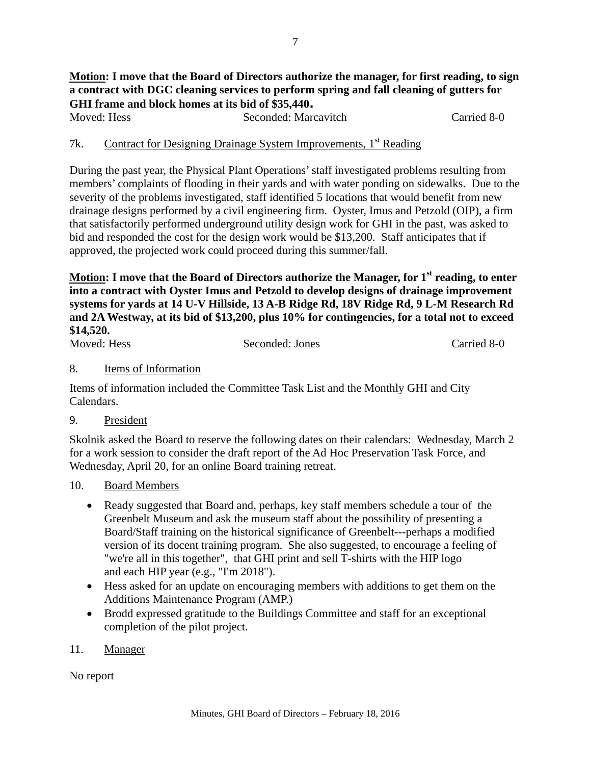# **Motion: I move that the Board of Directors authorize the manager, for first reading, to sign a contract with DGC cleaning services to perform spring and fall cleaning of gutters for GHI frame and block homes at its bid of \$35,440.**

Moved: Hess Seconded: Marcavitch Carried 8-0

## 7k. Contract for Designing Drainage System Improvements, 1<sup>st</sup> Reading

During the past year, the Physical Plant Operations' staff investigated problems resulting from members' complaints of flooding in their yards and with water ponding on sidewalks. Due to the severity of the problems investigated, staff identified 5 locations that would benefit from new drainage designs performed by a civil engineering firm. Oyster, Imus and Petzold (OIP), a firm that satisfactorily performed underground utility design work for GHI in the past, was asked to bid and responded the cost for the design work would be \$13,200. Staff anticipates that if approved, the projected work could proceed during this summer/fall.

Motion: I move that the Board of Directors authorize the Manager, for 1<sup>st</sup> reading, to enter **into a contract with Oyster Imus and Petzold to develop designs of drainage improvement systems for yards at 14 U-V Hillside, 13 A-B Ridge Rd, 18V Ridge Rd, 9 L-M Research Rd and 2A Westway, at its bid of \$13,200, plus 10% for contingencies, for a total not to exceed \$14,520.**

Moved: Hess Seconded: Jones Carried 8-0

#### 8. Items of Information

Items of information included the Committee Task List and the Monthly GHI and City Calendars.

9. President

Skolnik asked the Board to reserve the following dates on their calendars: Wednesday, March 2 for a work session to consider the draft report of the Ad Hoc Preservation Task Force, and Wednesday, April 20, for an online Board training retreat.

- 10. Board Members
	- Ready suggested that Board and, perhaps, key staff members schedule a tour of the Greenbelt Museum and ask the museum staff about the possibility of presenting a Board/Staff training on the historical significance of Greenbelt---perhaps a modified version of its docent training program. She also suggested, to encourage a feeling of "we're all in this together", that GHI print and sell T-shirts with the HIP logo and each HIP year (e.g., "I'm 2018").
	- Hess asked for an update on encouraging members with additions to get them on the Additions Maintenance Program (AMP.)
	- Brodd expressed gratitude to the Buildings Committee and staff for an exceptional completion of the pilot project.
- 11. Manager

No report